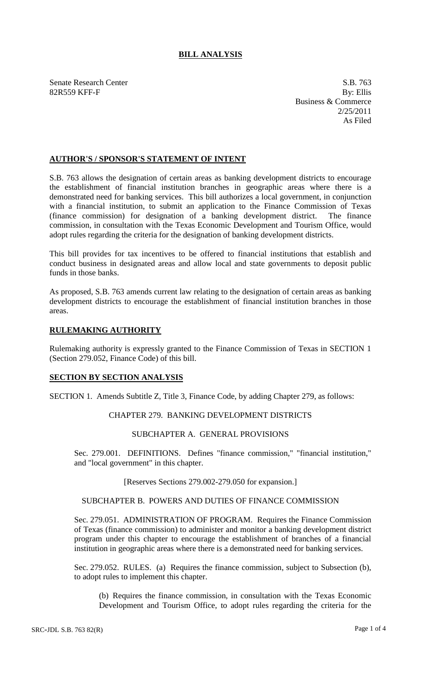# **BILL ANALYSIS**

Senate Research Center S.B. 763 82R559 KFF-F By: Ellis

Business & Commerce 2/25/2011 As Filed

### **AUTHOR'S / SPONSOR'S STATEMENT OF INTENT**

S.B. 763 allows the designation of certain areas as banking development districts to encourage the establishment of financial institution branches in geographic areas where there is a demonstrated need for banking services. This bill authorizes a local government, in conjunction with a financial institution, to submit an application to the Finance Commission of Texas (finance commission) for designation of a banking development district. The finance commission, in consultation with the Texas Economic Development and Tourism Office, would adopt rules regarding the criteria for the designation of banking development districts.

This bill provides for tax incentives to be offered to financial institutions that establish and conduct business in designated areas and allow local and state governments to deposit public funds in those banks.

As proposed, S.B. 763 amends current law relating to the designation of certain areas as banking development districts to encourage the establishment of financial institution branches in those areas.

### **RULEMAKING AUTHORITY**

Rulemaking authority is expressly granted to the Finance Commission of Texas in SECTION 1 (Section 279.052, Finance Code) of this bill.

### **SECTION BY SECTION ANALYSIS**

SECTION 1. Amends Subtitle Z, Title 3, Finance Code, by adding Chapter 279, as follows:

## CHAPTER 279. BANKING DEVELOPMENT DISTRICTS

# SUBCHAPTER A. GENERAL PROVISIONS

Sec. 279.001. DEFINITIONS. Defines "finance commission," "financial institution," and "local government" in this chapter.

### [Reserves Sections 279.002-279.050 for expansion.]

#### SUBCHAPTER B. POWERS AND DUTIES OF FINANCE COMMISSION

Sec. 279.051. ADMINISTRATION OF PROGRAM. Requires the Finance Commission of Texas (finance commission) to administer and monitor a banking development district program under this chapter to encourage the establishment of branches of a financial institution in geographic areas where there is a demonstrated need for banking services.

Sec. 279.052. RULES. (a) Requires the finance commission, subject to Subsection (b), to adopt rules to implement this chapter.

(b) Requires the finance commission, in consultation with the Texas Economic Development and Tourism Office, to adopt rules regarding the criteria for the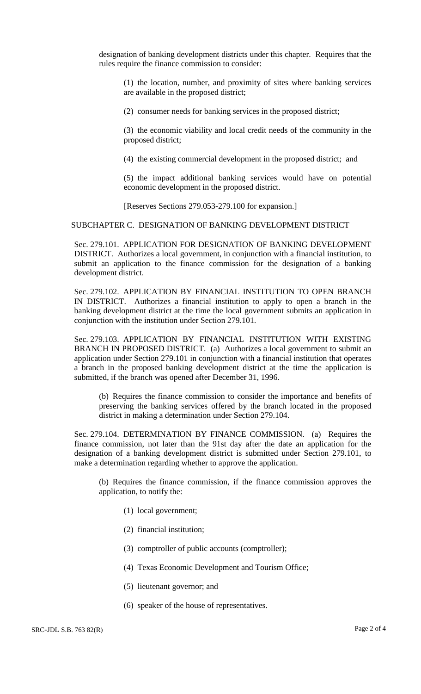designation of banking development districts under this chapter. Requires that the rules require the finance commission to consider:

(1) the location, number, and proximity of sites where banking services are available in the proposed district;

(2) consumer needs for banking services in the proposed district;

(3) the economic viability and local credit needs of the community in the proposed district;

(4) the existing commercial development in the proposed district; and

(5) the impact additional banking services would have on potential economic development in the proposed district.

[Reserves Sections 279.053-279.100 for expansion.]

### SUBCHAPTER C. DESIGNATION OF BANKING DEVELOPMENT DISTRICT

Sec. 279.101. APPLICATION FOR DESIGNATION OF BANKING DEVELOPMENT DISTRICT. Authorizes a local government, in conjunction with a financial institution, to submit an application to the finance commission for the designation of a banking development district.

Sec. 279.102. APPLICATION BY FINANCIAL INSTITUTION TO OPEN BRANCH IN DISTRICT. Authorizes a financial institution to apply to open a branch in the banking development district at the time the local government submits an application in conjunction with the institution under Section 279.101.

Sec. 279.103. APPLICATION BY FINANCIAL INSTITUTION WITH EXISTING BRANCH IN PROPOSED DISTRICT. (a) Authorizes a local government to submit an application under Section 279.101 in conjunction with a financial institution that operates a branch in the proposed banking development district at the time the application is submitted, if the branch was opened after December 31, 1996.

(b) Requires the finance commission to consider the importance and benefits of preserving the banking services offered by the branch located in the proposed district in making a determination under Section 279.104.

Sec. 279.104. DETERMINATION BY FINANCE COMMISSION. (a) Requires the finance commission, not later than the 91st day after the date an application for the designation of a banking development district is submitted under Section 279.101, to make a determination regarding whether to approve the application.

(b) Requires the finance commission, if the finance commission approves the application, to notify the:

- (1) local government;
- (2) financial institution;
- (3) comptroller of public accounts (comptroller);
- (4) Texas Economic Development and Tourism Office;
- (5) lieutenant governor; and
- (6) speaker of the house of representatives.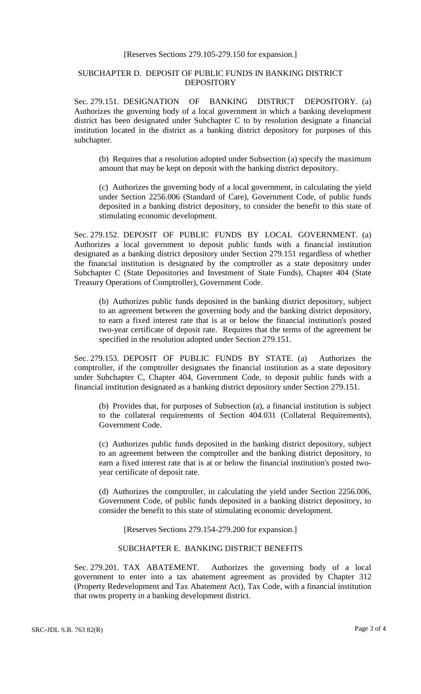#### [Reserves Sections 279.105-279.150 for expansion.]

## SUBCHAPTER D. DEPOSIT OF PUBLIC FUNDS IN BANKING DISTRICT DEPOSITORY

Sec. 279.151. DESIGNATION OF BANKING DISTRICT DEPOSITORY. (a) Authorizes the governing body of a local government in which a banking development district has been designated under Subchapter C to by resolution designate a financial institution located in the district as a banking district depository for purposes of this subchapter.

(b) Requires that a resolution adopted under Subsection (a) specify the maximum amount that may be kept on deposit with the banking district depository.

(c) Authorizes the governing body of a local government, in calculating the yield under Section 2256.006 (Standard of Care), Government Code, of public funds deposited in a banking district depository, to consider the benefit to this state of stimulating economic development.

Sec. 279.152. DEPOSIT OF PUBLIC FUNDS BY LOCAL GOVERNMENT. (a) Authorizes a local government to deposit public funds with a financial institution designated as a banking district depository under Section 279.151 regardless of whether the financial institution is designated by the comptroller as a state depository under Subchapter C (State Depositories and Investment of State Funds), Chapter 404 (State Treasury Operations of Comptroller), Government Code.

(b) Authorizes public funds deposited in the banking district depository, subject to an agreement between the governing body and the banking district depository, to earn a fixed interest rate that is at or below the financial institution's posted two-year certificate of deposit rate. Requires that the terms of the agreement be specified in the resolution adopted under Section 279.151.

Sec. 279.153. DEPOSIT OF PUBLIC FUNDS BY STATE. (a) Authorizes the comptroller, if the comptroller designates the financial institution as a state depository under Subchapter C, Chapter 404, Government Code, to deposit public funds with a financial institution designated as a banking district depository under Section 279.151.

(b) Provides that, for purposes of Subsection (a), a financial institution is subject to the collateral requirements of Section 404.031 (Collateral Requirements), Government Code.

(c) Authorizes public funds deposited in the banking district depository, subject to an agreement between the comptroller and the banking district depository, to earn a fixed interest rate that is at or below the financial institution's posted twoyear certificate of deposit rate.

(d) Authorizes the comptroller, in calculating the yield under Section 2256.006, Government Code, of public funds deposited in a banking district depository, to consider the benefit to this state of stimulating economic development.

[Reserves Sections 279.154-279.200 for expansion.]

### SUBCHAPTER E. BANKING DISTRICT BENEFITS

Sec. 279.201. TAX ABATEMENT. Authorizes the governing body of a local government to enter into a tax abatement agreement as provided by Chapter 312 (Property Redevelopment and Tax Abatement Act), Tax Code, with a financial institution that owns property in a banking development district.